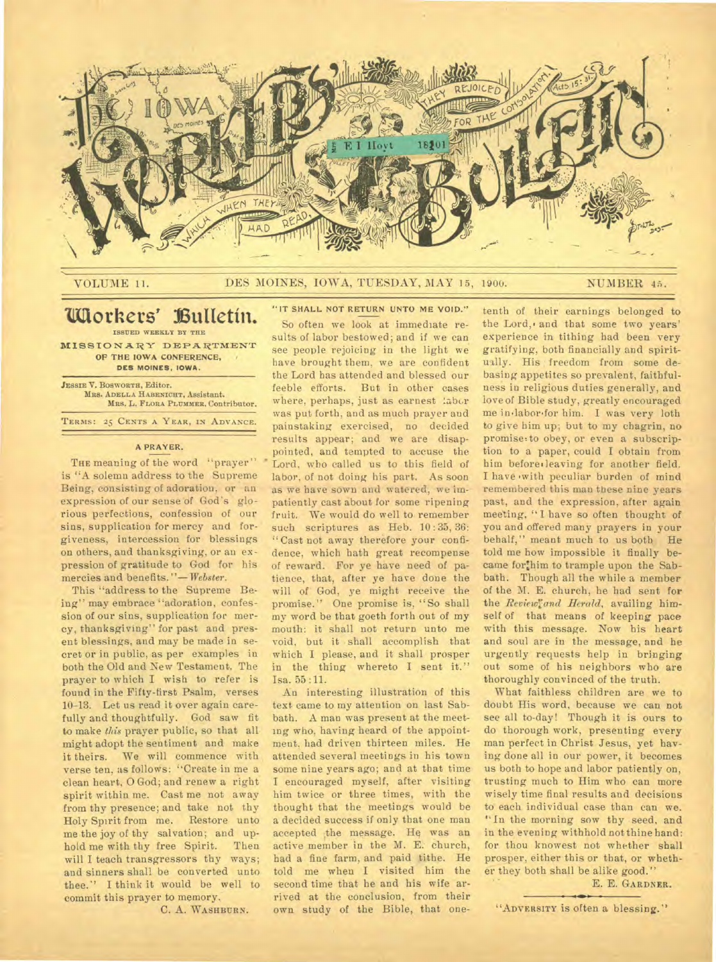

VOLUME 11. DES MOINES, IOWA, TUESDAY, MAY 15, 1900. NUMBER 45.

## **Workers' Bulletín. ISSUED WEEKLY BY THE**

MISSIONARY DEPARTMENT **OP THE IOWA CONFERENCE, DES MOINES, IOWA.** 

**JESSIE V. BOSWORTH, Editor. MRS. ADELLA HABENICHT. Assistant. MRS.** L. **FLORA PLUMMER. Contributor. TERMS: 25 CENTS A YEAR, IN ADVANCE.** 

#### **A PRAYER.**

THE meaning of the word "prayer" is "A solemn address to the Supreme Being, consisting of adoration, or an expression of our sense of God's glorious perfections, confession of our sins, supplication for mercy and forgiveness, intercession for blessings on others, and thanksgiving, or an expression of gratitude to God for his mercies and benefits. "— *Webster.* 

This "address to the Supreme Being" may embrace "adoration, confession of our sins, supplication for mercy, thanksgiving" for past and present blessings, and may be made in secret or in public, as per examples in both the Old and New Testament. The prayer to which I wish to refer is found in the Fifty-first Psalm, verses 10-13. Let us read it over again carefully and thoughtfully. God saw fit to make *this* prayer public, so that all might adopt the sentiment and make it theirs. We will commence with verse ten, as follows: "Create in me a clean heart, 0 God; and renew a right spirit within me. Cast me not away from thy presence; and take not thy Holy Spirit from me. Restore unto me the joy of thy salvation; and uphold me with thy free Spirit. Then will I teach transgressors thy ways; and sinners shall be converted unto thee.'' I think it would be well to commit this prayer to memory.

C. A. **WASHBURN.** 

**"IT SHALL NOT RETURN UNTO ME VOID."** 

So often we look at immediate results of labor bestowed; and if we can see people rejoicing in the light we have brought them, we are confident the Lord has attended and blessed our feeble efforts. But in other cases where, perhaps, just as earnest labor was put forth, and as much prayer and painstaking exercised, no decided results appear; and we are disappointed, and tempted to accuse the Lord, who called us to this field of labor, of not doing his part. As soon as we have sown and watered, we impatiently cast about for some ripening fruit. We would do well to remember such scriptures as Heb. 10:35, 36: "Cast not away therefore your confidence, which hath great recompense of reward. For ye have need of patience, that, after ye have done the will of God, ye might receive the promise." One promise is, "So shall my word be that goeth forth out of my mouth: it shall not return unto me void, but it shall accomplish that which I please, and it shall prosper in the thing whereto I sent it." Isa. 55 :11.

An interesting illustration of this text came to my attention on last Sabbath. A man was present at the meeting who, having heard of the appointment, had driven thirteen miles. He attended several meetings in his town some nine years ago; and at that time I encouraged myself, after visiting him twice or three times, with the thought that the meetings would be a decided success if only that one man accepted the message. He was an active member in the M. E. church, bad a fine farm, and paid tithe. He told me when I visited him the second time that he and his wife arrived at the conclusion, from their own study of the Bible, that onetenth of their earnings belonged to the Lord,• and that some two years' experience in tithing had been very gratifying, both financially and spiritually. His freedom from some debasing appetites so prevalent, faithfulness in religious duties generally, and love of Bible study, greatly encouraged me in.labor'for him. I was very loth to give him up; but to my chagrin, no promise:to obey, or even a subscription to a paper, could I obtain from him before, leaving for another field. I have 'with peculiar burden of mind remembered this man these nine years past, and the expression, after again meeting, " I have so often thought of you and offered many prayers in your behalf," meant much to us both He told me how impossible it finally became for:him to trample upon the Sabbath. Though all the while a member of the M. E. church, he had sent for the *Reviewland Herald*, availing himself of that means of keeping pace with this message. Now his heart and soul are in the message, and he urgently requests help in bringing out some of his neighbors who are thoroughly convinced of the truth.

What faithless children are we to doubt His word, because we can not see all to-day! Though it is ours to do thorough work, presenting every man perfect in Christ Jesus, yet having done all in our power, it becomes us both to hope and labor patiently on, trusting much to Him who can more wisely time final results and decisions to each individual case than can we. "In the morning sow thy seed, and in the evening withhold not thine hand: for thou knowest not whether shall prosper, either this or that, or whether they both shall be alike good."

E. E. **GARDNER.** 

**"ADVERSITY** is often a blessing."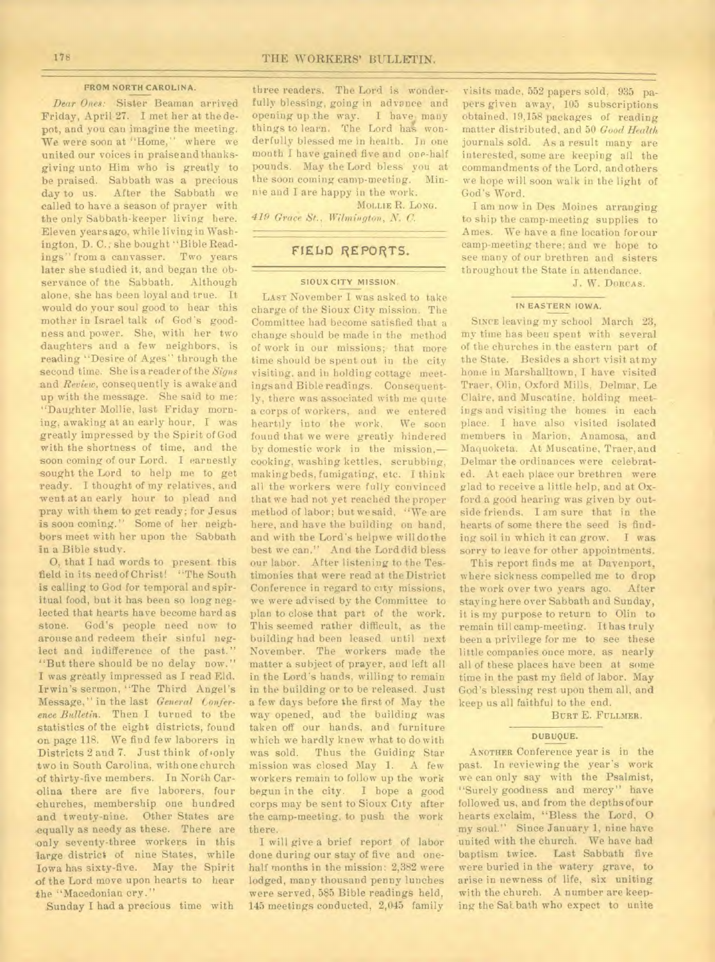#### **FROM NORTH CAROLINA.**

*Dear Ones:* Sister Beaman arrived Friday, April 27. I met her at the depot, and you can imagine the meeting. We were soon at "Home," where we united our voices in praiseand thanksgiving unto Him who is greatly to be praised. Sabbath was a precious day to us. After the Sabbath we called to have a season of prayer with the only Sabbath•keeper living here. Eleven years ago, while living in Washington, D. C. she bought "Bible Readings" from a canvasser. Two years later she studied it, and began the observance of the Sabbath. Although alone, she has been loyal and true. It would do your soul good to hear this mother in Israel talk of God's goodness and power. She, with her two daughters and a few neighbors, is reading "Desire of Ages" through the second time. She is a reader of the *Signs*  and *Review,* consequently is awake and up with the message. She said to me: "Daughter Mollie, last Friday morning, awaking at an early hour, I was greatly impressed by the Spirit of God with the shortness of time, and the soon coming of our Lord. I earnestly sought the Lord to help me to get ready. I thought of my relatives, and went at an early hour to plead and pray with them to get ready; for Jesus is soon coming." Some of her neighbors meet with her upon the Sabbath in a Bible study.

0, that I had words to present this field in its need of Christ! "The South is calling to God for temporal and spiritual food, but it has been so long neglected that hearts have become hard as stone. God's people need now to arouse and redeem their sinful neglect and indifference of the past." "But there should be no delay now." I was greatly impressed as I read Eld. Irwin's sermon, "The Third Angel's Message," in the last *General Conference Bulletin.* Then I turned to the statistics of the eight districts, found on page 118. We find few laborers in Districts 2 and 7. Just think of 'only two in South Carolina, with one church of thirty-five members. In North Carolina there are five laborers, four churches, membership one hundred and twenty-nine. Other States are equally as needy as these. There are only seventy-three workers in this large district of nine States, while Iowa has sixty-five. May the Spirit of the Lord move upon hearts to hear the "Macedonian cry."

Sunday I had a precious time with

three readers. The Lord is wonderfully blessing, going in advance and opening up the way. I have many things to learn. The Lord has wonderfully blessed me in health. **In** one month I have gained five and one-half pounds. May the Lord bless you at the soon coming camp-meeting. Minnie and I are happy in the work.

**MOLLIE** R. **LONG.** 

*419 Grace St., Wilmington, C.* 

## **FIELD REPORTS.**

#### **SIOUX CITY MISSION.**

LAST November I was asked to take charge of the Sioux City mission. The Committee had become satisfied that a change should be made in the method of work in our missions; that more time should be spent out in the city visiting, and iu holding cottage meetings and Bible readings. Consequently, there was associated with me quite a corps of workers, and we entered heartily into the work. We soon found that we were greatly hindered by domestic work in the mission, cooking, washing kettles, scrubbing, makingbeds, fumigating, etc. I think all the workers were fully convinced that we had not yet reached the proper method of labor; but we said, "We are here, and have the building on hand, and with the Lord's helpwe will do the best we can." And the Lord did bless our labor. After listening to the Testimonies that were read at the District Conference in regard to city missions, we were advised by the Committee to plan to close that part of the work. This seemed rather difficult, as the building had been leased until next November. The workers made the matter a subject of prayer, and left all in the Lord's hands, willing to remain in the building or to be released. Just a few days before the first of May the way opened, and the building was taken off our hands, and furniture which we hardly knew what to do with<br>was sold. Thus the Guiding Star Thus the Guiding Star mission was closed May 1. A few workers remain to follow up the work begun in the city. I hope a good corps may be sent to Sioux City after the camp-meeting, to push the work there.

I will give a brief report of labor done during our stay of five and onehalf months in the mission: 2,382 were lodged, many thousand penny lunches were served, 585 Bible readings held, 145 meetings conducted, 2,045 family

visits made, 552 papers sold, 935 papers given away, 105 subscriptions obtained, 19,158 packages of reading matter distributed, and 50 *Good Health*  journals sold. As a result many are interested, some are keeping all the commandments of the Lord, andothers we hope will soon walk in the light of God's Word.

I am now in Des Moines arranging to ship the camp-meeting supplies to Ames. We have a fine location for our camp-meeting there; and we hope to see many of our brethren and sisters throughout the State in attendance.

J. W. **DORCAS.** 

### **IN EASTERN IOWA.**

**SINCE** leaving my school March 23, my time has been spent with several of the churches in the eastern part of the State. Besides a short visit at my home in Marshalltown, I have visited Traer, Olin, Oxford Mills, Delmar, Le Claire, and Muscatine. holding meetings and visiting the homes in each place. I have also visited isolated members in Marion, Anamosa, and Maquoketa. At Muscatine, Traer, and Delmar the ordinances were celebrated. At each place our brethren were glad to receive a little help, and at Oxford a good hearing was given by outside friends. I am sure that in the hearts of some there the seed is finding soil in which it can grow. I was sorry to leave for other appointments.

This report finds me at Davenport, where sickness compelled me to drop the work over two years ago. After staying here over Sabbath and Sunday, it is my purpose to return to Olin to remain till camp-meeting. It has truly been a privilege for me to see these little companies once more, as nearly all of these places have been at some time in the past my field of labor. May God's blessing rest upon them all, and keep us all faithful to the end.

BURT E. FULLMER.

#### **DUBUQUE.**

ANOTHER Conference year is in the past. In reviewing the year's work we can only say with the Psalmist, "Surely goodness and mercy" have followed us, and from the depths of our hearts exclaim, "Bless the Lord, 0 my soul." Since January 1, nine have united with the church. We have had baptism twice. Last Sabbath five were buried in the watery grave, to arise in newness of life, six uniting with the church. A number are keeping the SaLbath who expect to unite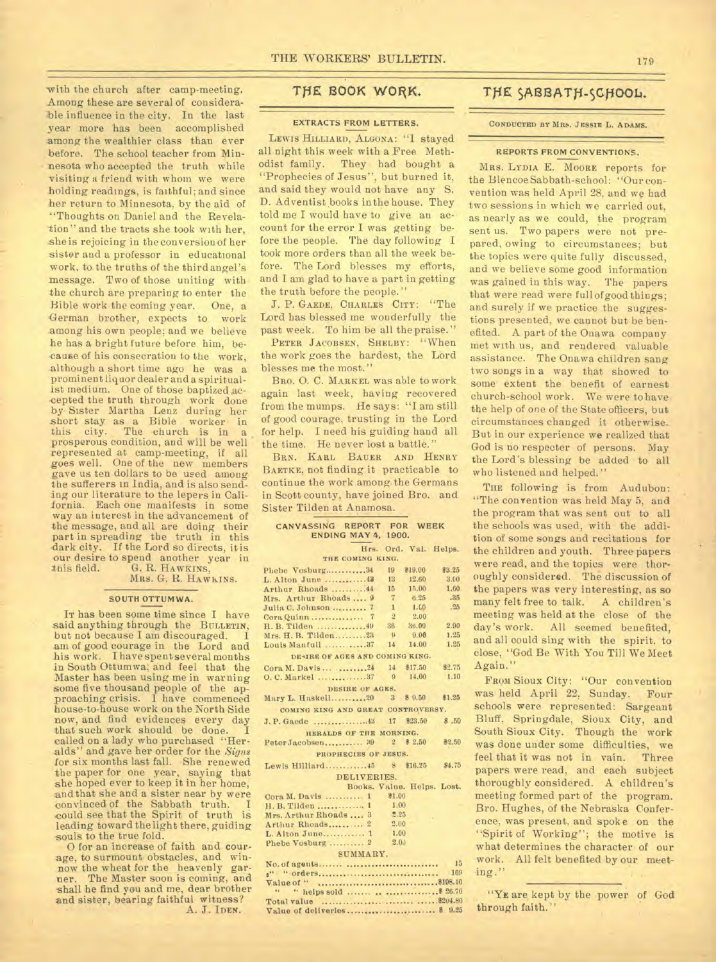with the church after camp-meeting. Among these are several of considerable influence in the city. In the last year more has been accomplished among the wealthier class than ever before. The school teacher from Minnesota who accepted the truth while visiting a friend with whom we were holding readings, is faithful; and since her return to Minnesota, by the aid of "Thoughts on Daniel and the Revelation" and the tracts she took with her, she is rejoicing in the conversion of her sister and a professor in educational work, to the truths of the third angel's message. Two of those uniting with the church are preparing to enter the Bible work the coming year. One, a German brother, expects to work among his own people; and we believe he has a bright future before him, because of his consecration to the work, .although a short time ago he was a prominent liquor dealer and a spiritualist medium. One of those baptized accepted the truth through work done by Sister Martha Leuz during her short stay as a Bible worker in this city. The church is in a prosperous condition, and will be well represented at camp-meeting, if all goes well. One of the new members gave us ten dollars to be used among *the* sufferers in India, and is also sending our literature to the lepers in California. Each one manifests in some way an interest in the advancement of the message, and all are doing their part in spreading the truth in this dark city. If the Lord so directs, it is our desire to spend another year in<br>this field. G. R. HAWKINS, G. R. HAWKINS, MRS. G. R. HAWKINS.

#### **SOUTH OTTUMWA.**

IT has been some time since I have said anything through the BULLETIN, but not because I am discouraged. am of good courage in the Lord and his work. I have spent several months in South Ottumwa; and feel that the Master has been using me in warning some five thousand people of the approaching crisis. I have commenced house-to-house work on the North Side now, and find evidences every day that such work should be done. I called on a lady who purchased "Heralds" and gave her order for the *Signs*  for six months last fall. She renewed the paper for one year, saying that she hoped ever to keep it in her home, and that she and a sister near by were convinced of the Sabbath truth. could see that the Spirit of truth is leading toward the light there, guiding souls to the true fold.

0 for an increase of faith and-courage, to surmount obstacles, and winnow the wheat for the heavenly garner. The Master soon is coming, and The Master soon is coming, and shall he find you and me, dear brother and sister, bearing faithful witness? A. J. IDEN.

## **TfiE BOOK WORK.**

#### **EXTRACTS FROM LETTERS.**

LEWIS HILLIARD, ALGONA: "I stayed all night this week with a Free Methodist family. They had bought a "Prophecies of Jesus", but burned it, and said they would not have any S. D. Adventist books in the house. They told me I would have to give an account for the error I was getting before the people. The day following I took more orders than all the week before. The Lord blesses my efforts, and I am glad to have a part in getting the truth before the people."

J. P. GAEDE, CHARLES CITY: "The Lord has blessed me wonderfully the past week. To him be all the praise."

PETER JACOBSEN, SHELBY: "When the work goes the hardest, the Lord blesses me the most."

BRO. 0. C. MARKEL was able to work again last week, having recovered from the mumps. He says: "I am still of good courage, trusting in the Lord for help. I need his guiding hand all the time. He never lost a battle."

BRN. KARL BAUER AND HENRY BAETKE, not finding it practicable to continue the work among.the Germans in Scott county, have joined Bro. and Sister Tilden at Anamosa.

| CANVASSING REPORT FOR WEEK |                            |                       |
|----------------------------|----------------------------|-----------------------|
|                            | <b>ENDING MAY 4, 1900.</b> |                       |
|                            |                            | Hrs. Ord. Val. Helps. |

**THE COMING KING.**  Phebe Vosburg............34 19 \$19.00<br>L. Alton June ................43 13 12.60 **L. Alton June .............43 13 12.60**<br>Arthur Rhoads ...........44 15 15.00 Arthur Rhoads .........44 15 15.00<br>Mrs. Arthur Rhoads .... 9 7 6.25 Mrs. Arthur Rhoads ..., 9 7 6.25<br>Julia C. Johnson .......... 7 1 1.00 Julia C. Johnson 7 1 1.G0 Cora Quinn 7 2 2.00 H. B. Tilden 49 36 30.00 2.90 Mrs. H. B. Tilden 23 **II** 9.00 1.25 Louis Manfull .............37 **DESIRE OF AGES AND COMING KING.**  Cora M. Davis ... ... 24 14 \$17.50 \$2.75<br>O. C. Markel ... ... ... ... 37 9 14.00 1.10 0. C. Markel ................ 37 **DESIRE OF AGES.**  Mary L. Haskell...........20 3 \$ 9.50 \$1.25 **COMING KING AND GREAT CONTROVERSY.**  J. P. Gaede .43 17 \$23.50 \$ .50 **HERALDS OF THE MORNING.**  Peter Jacobsen............. 39 2 \$ 2.50 \$2.50 **PROPHECIES OF JESUS.**  Lewis Hilliard..............45 8 \$16.25 \$4.75 DELIVERIES. Books. Value. Helps. Lost.<br>...... 1 \$1.00 Cora M. Davis ........... 1 \$1.00<br>H. B. Tilden ................ 1 1.00 H. B. Tilden ................ 1 1.00<br>Mrs. Arthur Rhoads .... 3 2.25 Mrs. Arthur Rhoads .... 3 2.25 Arthur Rhoads............ 2 2.00 L. Alton June..............  $1$  1.00<br>Phobe Voshurg 2 2.00 \$3.25 3.00 1.60 .35 .25

#### SUMMARY. No. of agents 15 Value of \$198.10 **g" "** orders 169 " helps sold ....... .. ...................... \$ 26.70 Total value \$204.80 Value of deliveries ............................ \$ 9.25

Phebe Vosburg .......... 2

## THE SABBATH-SCHOOL.

#### **CONDUCTED BY MRS. JESSIE** L. **ADAMS.**

#### REPORTS FROM CONVENTIONS.

MRS. LYDIA E. MOORE reports for the Blencoe Sabbath-school: "Our convention was held April 28, and we had two sessions in which we carried out, as nearly as we could, the program sent us. Two papers were not prepared, owing to circumstances; but the topics were quite fully discussed, and we believe some good information was gained in this way. The papers that were read were full of good things; and surely if we practice the suggestions presented, we cannot but be benefited. A part of the Onawa company met with us, and rendered valuable assistance. The Onawa children sang two songs in a way that showed to some extent the benefit of earnest church-school work. We were to have the help of one of the State officers, but circumstances changed it otherwise.. But in our experience we realized that God is no respecter of persons. May the Lord's blessing be added to all who listened and helped."

THE following is from Audubon: "The convention was held May 5, and the program that was sent out to all the schools was used, with the addition of some songs and recitations for the children and youth. Three papers were read, and the topics were thoroughly considered. The discussion of the papers was very interesting, as so many felt free to talk. A children's meeting was held at the close of the day's work. All seemed benefited, and all could sing with the spirit, to close, "God Be With You Till We Meet Again."

FROM Sioux City: "Our convention was held April 22. Sunday. Four schools were represented: Sargeant Bluff, Springdale, Sioux City, and South Sioux City. Though the work was done under some difficulties, we feel that it was not in vain. Three papers were read, and each subject thoroughly considered. A children's meeting formed part of the program. Bro. Hughes, of the Nebraska Conference, was present, and spoke on the "Spirit of Working"; the motive is what determines the character of our work. All felt benefited by our meeting."

"YE are kept by the power of God through faith."